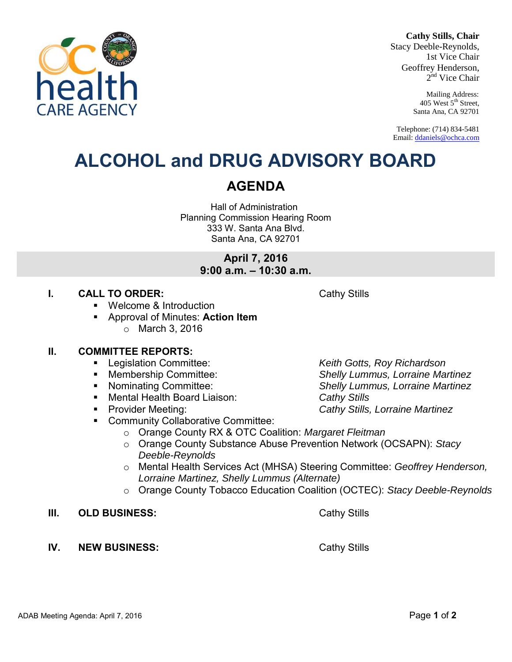#### **Cathy Stills, Chair**

Stacy Deeble-Reynolds, 1st Vice Chair Geoffrey Henderson, 2<sup>nd</sup> Vice Chair

> Mailing Address: 405 West 5<sup>th</sup> Street, Santa Ana, CA 92701

Telephone: (714) 834-5481 Email[: ddaniels@ochca.com](mailto:ddaniels@ochca.com)

# **ALCOHOL and DRUG ADVISORY BOARD**

## **AGENDA**

Hall of Administration Planning Commission Hearing Room 333 W. Santa Ana Blvd. Santa Ana, CA 92701

> **April 7, 2016 9:00 a.m. – 10:30 a.m.**

### **I. CALL TO ORDER:** Cathy Stills

- Welcome & Introduction
- Approval of Minutes: **Action Item**  o March 3, 2016

#### **II. COMMITTEE REPORTS:**

- Legislation Committee: *Keith Gotts, Roy Richardson*
- Membership Committee: *Shelly Lummus, Lorraine Martinez*
- Nominating Committee: *Shelly Lummus, Lorraine Martinez*
- Mental Health Board Liaison: *Cathy Stills*
- 
- **EXECOMMUNITY Collaborative Committee:** 
	- o Orange County RX & OTC Coalition: *Margaret Fleitman*
	- o Orange County Substance Abuse Prevention Network (OCSAPN): *Stacy Deeble-Reynolds*
	- o Mental Health Services Act (MHSA) Steering Committee: *Geoffrey Henderson, Lorraine Martinez, Shelly Lummus (Alternate)*
	- o Orange County Tobacco Education Coalition (OCTEC): *Stacy Deeble-Reynolds*
- **III.** OLD BUSINESS: Cathy Stills
- **IV.** NEW BUSINESS: Cathy Stills

Provider Meeting: *Cathy Stills, Lorraine Martinez*